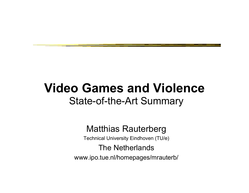### **Video Games and Violence**State-of-the-Art Summary

### Matthias Rauterberg

Technical University Eindhoven (TU/e)

### The Netherlands

www.ipo.tue.nl/homepages/mrauterb/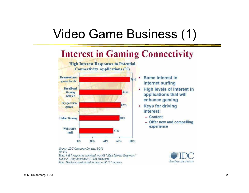## Video Game Business (1)

#### **Interest in Gaming Connectivity High Interest Responses to Potential Connectivity Applications (%)** Some interest in Download new 76% games/levels **Internet surfing Broadband** 64% Gaming **Service** enhance gaming Pay-per-view 62% **Keys for driving** ٠ games interest:  $-$  Content **Online Gaming** 60% experience Web surfe-51% mail 0% 20% 40% 60% 80%



- High levels of interest in applications that will
	- Offer new and compelling

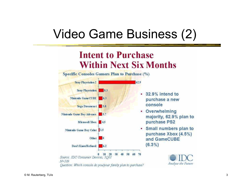## Video Game Business (2)

### **Intent to Purchase Within Next Six Months**





- 32.9% intend to purchase a new
- Overwhelming majority, 62.9% plan to purchase PS2
- Small numbers plan to purchase Xbox (4.5%) and GameCUBE

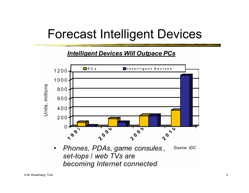### Forecast Intelligent Devices

### **Intelligent Devices Will Outpace PCs**



becoming Internet connected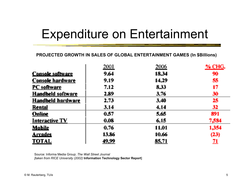## Expenditure on Entertainment

#### **PROJECTED GROWTH IN SALES OF GLOBAL ENTERTAINMENT GAMES (In \$Billions)**

|                          | 2001  | 2006  | % CHG.    |
|--------------------------|-------|-------|-----------|
| <b>Console software</b>  | 9.64  | 18.34 | 90        |
| <b>Console hardware</b>  | 9.19  | 14.29 | 55        |
| PC software              | 7.12  | 8,33  | 17        |
| Handheld software        | 2.89  | 3.76  | 30        |
| <b>Handheld hardware</b> | 2.73  | 3.40  | 25        |
| Rental                   | 3.14  | 4.14  | 32        |
| Online                   | 0.57  | 5.65  | 891       |
| Interactive TV           | 0.08  | 6,15  | 7,584     |
| Mobile                   | 0.76  | 11.01 | 1,354     |
| <b>Arcades</b>           | 13.86 | 10.66 | (23)      |
| TOTAL                    | 49.99 | 85,71 | <u>71</u> |

Source: Informa Media Group; *The Wall Street Journal [taken from RICE University (2002)* **Information Technology Sector Report**]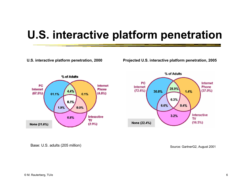### **U.S. interactive platform penetration**

**U.S. interactive platform penetration, 2000**

**Projected U.S. interactive platform penetration, 2005**





Base: U.S. adults (205 million)

Source: GartnerG2, August 2001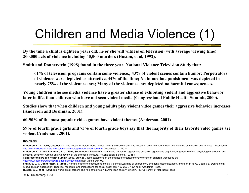# Children and Media Violence (1)

**By the time a child is eighteen years old, he or she will witness on television (with average viewing time) 200,000 acts of violence including 40,000 murders (Huston, et al, 1992).** 

**Smith and Donnerstein (1998) found in the three year, National Violence Television Study that:** 

**61% of television programs contain some violence.; 43% of violent scenes contain humor; Perpetrators of violence were depicted as attractive, 44% of the time; No immediate punishment was depicted in nearly 75% of the violent scenes; Many of the violent scenes depicted no harmful consequences.** 

**Young children who see media violence have a greater chance of exhibiting violent and aggressive behavior later in life, than children who have not seen violent media (Congressional Public Health Summit, 2000).** 

**Studies show that when children and young adults play violent video games their aggressive behavior increases (Anderson and Bushman, 2001).** 

**60-90% of the most popular video games have violent themes (Anderson, 2001)** 

**59% of fourth grade girls and 73% of fourth grade boys say that the majority of their favorite video games are violent (Anderson, 2001).** 

#### **References:**

**Anderson, C. A. (2001, October 22)**. The impact of violent video games. Iowa State University: The impact of entertainment media and violence on children and families. Accessed at: http://www.extension.iastate.edu/families/media/program.anderson.html (last visited 2/12/02)

**Congressional Public Health Summit (2000, July 26)**. Joint statement on the impact of entertainment violence on children. Accessed at:

```
http://www.aap.org/advocacy/releases/jstmtevc.htm (last visited 2/14/02)
```
**Smith, S. L., & Donnerstein, E. (1998)**. Harmful effects of exposure to media violence: Learning of aggression, emotional desensitization, and fear. In R. G. Geen & E. Donnerstein (Eds.), Human aggression: Theories, research, and implications for social policy (pp. 167-202). New York: Academic Press.

**Huston, A.C. et al (1992)**. Big world, small screen: The role of television in American society. Lincoln, NE: University of Nebraska Press

**Anderson, C. A. and Bushman, B. J. (2001, September)**. Effects of violent video games on aggressive behavior, aggressive cognition, aggressive affect, physiological arousal, and prosocial behavior: A meta-analytic review of the scientific literature. Psychological Science, 12, 353.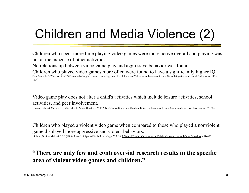# Children and Media Violence (2)

Children who spent more time playing video games were more active overall and playing was not at the expense of other activities.

No relationship between video game play and aggressive behavior was found.

Children who played video games more often were found to have a significantly higher IQ. [Van Schie, E. & Wiegman, O. (1997). Journal of Applied Social Psychology, Vol. 13. Children and Videogames: Leisure Activities, Social Integration, and Social Performance, 1175- 1194]

Video game play does not alter a child's activities which include leisure activities, school activities, and peer involvement.

[Creasey, Gary & Meyers, B. (1986). Merill- Palmer Quarterly, Vol.32, No.3. Video Games and Children: Effects on Leisure Activities, Schoolwork, and Peer Involvement, 251-262]

Children who played a violent video game when compared to those who played a nonviolent game displayed more aggressive and violent behaviors.

[Schutte, N. S. & Malouff, J. M. (1988). Journal of Applied Social Psychology, Vol. 18. Effects of Playing Videogames on Children's Aggressive and Other Behaviors, 454- 460]

### **"There are only few and controversial research results in the specific area of violent video games and children."**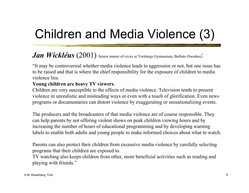# Children and Media Violence (3)

### *Jan Wickléus* (2001) Senior master of civics at Torsbergs Gymnasium, Bollnäs (Sweden):

"It may be controversial whether media violence leads to aggression or not, but one issue has to be raised and that is where the chief responsibility for the exposure of children to media violence lies.

#### **Young children are heavy TV viewers**.

Children are very susceptible to the effects of media violence. Television tends to present violence in unrealistic and misleading ways or even with a touch of glorification. Even news programs or documentaries can distort violence by exaggerating or sensationalizing events.

The producers and the broadcasters of that media violence are of course responsible. They can help parents by not offering violent shows on peak children viewing hours and by increasing the number of hours of educational programming and by developing warning labels to enable both adults and young people to make informed choices about what to watch.

Parents can also protect their children from excessive media violence by carefully selecting programs that their children are exposed to.

TV watching also keeps children from other, more beneficial activities such as reading and playing with friends."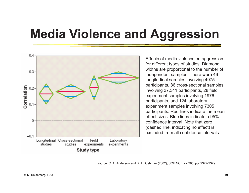## **Media Violence and Aggression**



Effects of media violence on aggression for different types of studies. Diamond widths are proportional to the number of independent samples. There were 46 longitudinal samples involving 4975 participants, 86 cross-sectional samples involving 37,341 participants, 28 field experiment samples involving 1976 participants, and 124 laboratory experiment samples involving 7305 participants. Red lines indicate the mean effect sizes. Blue lines indicate a 95% confidence interval. Note that zero (dashed line, indicating no effect) is excluded from all confidence intervals.

[source: C. A. Anderson and B. J. Bushman (2002), SCIENCE vol 295, pp. 2377-2379]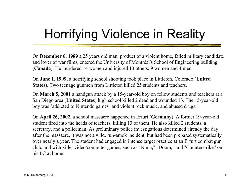# Horrifying Violence in Reality

On **December 6, 1989** a 25 years old man, product of a violent home, failed military candidate and lover of war films, entered the University of Montréal's School of Engineering building (**Canada**). He murdered 14 women and injured 13 others: 9 women and 4 men.

On **June 1, 1999**, a horrifying school shooting took place in Littleton, Colorado (**United States**). Two teenage gunmen from Littleton killed 25 students and teachers.

On **March 5, 2001** a handgun attack by a 15-year-old boy on fellow students and teachers at a San Diego area (**United States**) high school killed 2 dead and wounded 13. The 15-year-old boy was ''addicted to Nintendo games'' and violent rock music, and abused drugs.

On **April 26, 2002**, a school massacre happened in Erfurt (**Germany**). A former 19-year-old student fired into the heads of teachers, killing 13 of them. He also killed 2 students, a secretary, and a policeman. As preliminary police investigations determined already the day after the massacre, it was not a wild, run-amok incident, but had been prepared systematically over nearly a year. The student had engaged in intense target practice at an Erfurt combat gun club, and with killer video/computer games, such as "Ninja," "Doom," and "Counterstrike" on his PC at home.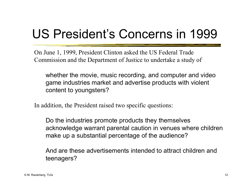# US President's Concerns in 1999

On June 1, 1999, President Clinton asked the US Federal Trade Commission and the Department of Justice to undertake a study of

whether the movie, music recording, and computer and video game industries market and advertise products with violent content to youngsters?

In addition, the President raised two specific questions:

Do the industries promote products they themselves acknowledge warrant parental caution in venues where children make up a substantial percentage of the audience?

And are these advertisements intended to attract children and teenagers?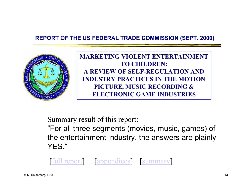### **REPORT OF THE US FEDERAL TRADE COMMISSION (SEPT. 2000)**



**MARKETING VIOLENT ENTERTAINMENTTO CHILDREN:A REVIEW OF SELF-REGULATION ANDINDUSTRY PRACTICES IN THE MOTIONPICTURE, MUSIC RECORDING & ELECTRONIC GAME INDUSTRIES**

Summary result of this report:

"For all three segments (movies, music, games) of the entertainment industry, the answers are plainly YES."

[full report] [appendices] [summary]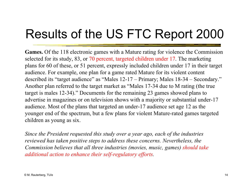# Results of the US FTC Report 2000

**Games.** Of the 118 electronic games with a Mature rating for violence the Commission selected for its study, 83, or 70 percent, targeted children under 17. The marketing plans for 60 of these, or 51 percent, expressly included children under 17 in their target audience. For example, one plan for a game rated Mature for its violent content described its "target audience" as "Males 12-17 – Primary; Males 18-34 – Secondary." Another plan referred to the target market as "Males 17-34 due to M rating (the true target is males 12-34)." Documents for the remaining 23 games showed plans to advertise in magazines or on television shows with a majority or substantial under-17 audience. Most of the plans that targeted an under-17 audience set age 12 as the younger end of the spectrum, but a few plans for violent Mature-rated games targeted children as young as six.

*Since the President requested this study over a year ago, each of the industries reviewed has taken positive steps to address these concerns. Nevertheless, the Commission believes that all three industries (movies, music, games) should take additional action to enhance their self-regulatory efforts.*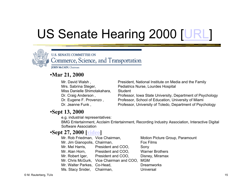# US Senate Hearing 2000 [URL]



**U.S. SENATE COMMITTEE ON** Commerce, Science, and Transportation

**JOHN McCAIN**, Chairman

### •**Mar 21, 2000**

Mr. David Walsh , President, National Institute on Media and the Family Mrs. Sabrina Steger, Pediatrics Nurse, Lourdes Hospital Miss Danielle Shimotakahara. Student Dr. Craig Anderson, Professor, Iowa State University, Department of Psychology Dr. Eugene F. Provenzo, Professor, School of Education, University of Miami Dr. Jeanne Funk, Professor, University of Toledo, Department of Psychology

### •**Sept 13, 2000**

e.g. industrial representatives:

BMG Entertainment, Acclaim Entertainment, Recording Industry Association, Interactive Digital Software Association

### •**Sept 27, 2000 [video]**

| Mr. Rob Friedman, Vice Chairman, |                                              | Motion Picture Group, Paramount |
|----------------------------------|----------------------------------------------|---------------------------------|
| Mr. Jim Gianopolis, Chairman,    |                                              | Fox Films                       |
|                                  | Mr. Mel Harris, President and COO,           | Sony                            |
| Mr. Alan Horn,                   | President and COO.                           | <b>Warner Brothers</b>          |
| Mr. Robert Iger,                 | President and COO.                           | Disney, Miramax                 |
|                                  | Mr. Chris McGurk, Vice Chairman and COO, MGM |                                 |
| Mr. Walter Parkes, Co-Head,      |                                              | <b>Dreamworks</b>               |
| Ms. Stacy Snider, Chairman,      |                                              | <b>Universal</b>                |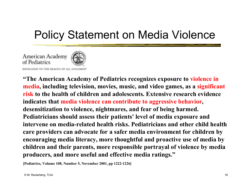### Policy Statement on Media Violence

American Academy of Pediatrics



DEDICATED TO THE HEALTH OF ALL CHILDREN

**"The American Academy of Pediatrics recognizes exposure to violence in media, including television, movies, music, and video games, as a significant risk to the health of children and adolescents. Extensive research evidence indicates that media violence can contribute to aggressive behavior, desensitization to violence, nightmares, and fear of being harmed. Pediatricians should assess their patients' level of media exposure and intervene on media-related health risks. Pediatricians and other child health care providers can advocate for a safer media environment for children by encouraging media literacy, more thoughtful and proactive use of media by children and their parents, more responsible portrayal of violence by media producers, and more useful and effective media ratings."**

**[Pediatrics, Volume 108, Number 5, November 2001, pp 1222-1226]**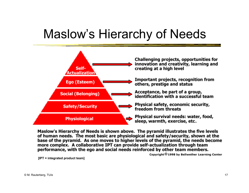### Maslow's Hierarchy of Needs



Maslow's Hierarchy of Needs is shown above. The pyramid illustrates the five levels of human needs. The most basic are physiological and safety/security, shown at the base of the pyramid. As one moves to higher levels of the pyramid, the needs become more complex. A collaborative IPT can provide self-actualization through team performance, with the ego and social needs reinforced by other team members.

Copyright © 1998 by Bellwether Learning Center

**[IPT = integrated product team]**